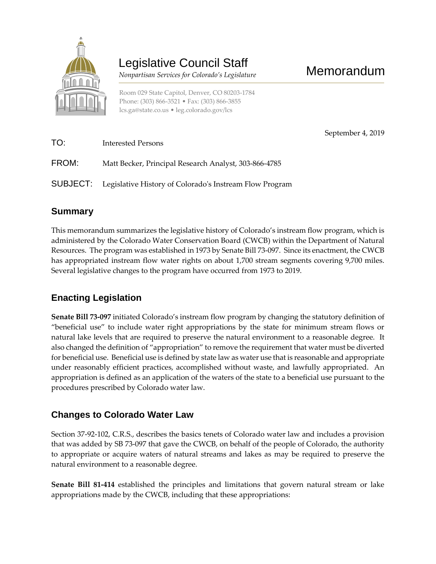

# Legislative Council Staff

 *Nonpartisan Services for Colorado's Legislature*

Room 029 State Capitol, Denver, CO 80203-1784 Phone: (303) 866-3521 • Fax: (303) 866-3855 [lcs.ga@state.co.us](mailto:lcs.ga@state.co.us) • [leg.colorado.gov/lcs](http://leg.colorado.gov/lcs)

September 4, 2019

| TO:   | <b>Interested Persons</b>                                        |
|-------|------------------------------------------------------------------|
| FROM: | Matt Becker, Principal Research Analyst, 303-866-4785            |
|       | SUBJECT: Legislative History of Colorado's Instream Flow Program |

### **Summary**

This memorandum summarizes the legislative history of Colorado's instream flow program, which is administered by the Colorado Water Conservation Board (CWCB) within the Department of Natural Resources. The program was established in 1973 by Senate Bill 73-097. Since its enactment, the CWCB has appropriated instream flow water rights on about 1,700 stream segments covering 9,700 miles. Several legislative changes to the program have occurred from 1973 to 2019.

## **Enacting Legislation**

**Senate Bill 73-097** initiated Colorado's instream flow program by changing the statutory definition of "beneficial use" to include water right appropriations by the state for minimum stream flows or natural lake levels that are required to preserve the natural environment to a reasonable degree. It also changed the definition of "appropriation" to remove the requirement that water must be diverted for beneficial use. Beneficial use is defined by state law as water use that is reasonable and appropriate under reasonably efficient practices, accomplished without waste, and lawfully appropriated. An appropriation is defined as an application of the waters of the state to a beneficial use pursuant to the procedures prescribed by Colorado water law.

#### **Changes to Colorado Water Law**

Section 37-92-102, C.R.S., describes the basics tenets of Colorado water law and includes a provision that was added by SB 73-097 that gave the CWCB, on behalf of the people of Colorado, the authority to appropriate or acquire waters of natural streams and lakes as may be required to preserve the natural environment to a reasonable degree.

**Senate Bill 81-414** established the principles and limitations that govern natural stream or lake appropriations made by the CWCB, including that these appropriations: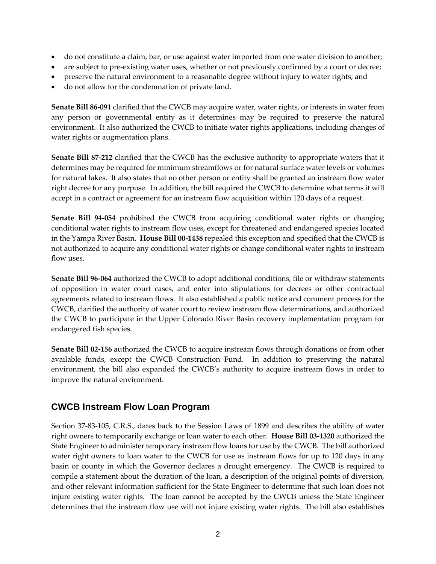- do not constitute a claim, bar, or use against water imported from one water division to another;
- are subject to pre-existing water uses, whether or not previously confirmed by a court or decree;
- preserve the natural environment to a reasonable degree without injury to water rights; and
- do not allow for the condemnation of private land.

**Senate Bill 86-091** clarified that the CWCB may acquire water, water rights, or interests in water from any person or governmental entity as it determines may be required to preserve the natural environment. It also authorized the CWCB to initiate water rights applications, including changes of water rights or augmentation plans.

**Senate Bill 87-212** clarified that the CWCB has the exclusive authority to appropriate waters that it determines may be required for minimum streamflows or for natural surface water levels or volumes for natural lakes. It also states that no other person or entity shall be granted an instream flow water right decree for any purpose. In addition, the bill required the CWCB to determine what terms it will accept in a contract or agreement for an instream flow acquisition within 120 days of a request.

**Senate Bill 94-054** prohibited the CWCB from acquiring conditional water rights or changing conditional water rights to instream flow uses, except for threatened and endangered species located in the Yampa River Basin. **House Bill 00-1438** repealed this exception and specified that the CWCB is not authorized to acquire any conditional water rights or change conditional water rights to instream flow uses.

**Senate Bill 96-064** authorized the CWCB to adopt additional conditions, file or withdraw statements of opposition in water court cases, and enter into stipulations for decrees or other contractual agreements related to instream flows. It also established a public notice and comment process for the CWCB, clarified the authority of water court to review instream flow determinations, and authorized the CWCB to participate in the Upper Colorado River Basin recovery implementation program for endangered fish species.

**Senate Bill 02-156** authorized the CWCB to acquire instream flows through donations or from other available funds, except the CWCB Construction Fund. In addition to preserving the natural environment, the bill also expanded the CWCB's authority to acquire instream flows in order to improve the natural environment.

#### **CWCB Instream Flow Loan Program**

Section 37-83-105, C.R.S., dates back to the Session Laws of 1899 and describes the ability of water right owners to temporarily exchange or loan water to each other. **House Bill 03-1320** authorized the State Engineer to administer temporary instream flow loans for use by the CWCB. The bill authorized water right owners to loan water to the CWCB for use as instream flows for up to 120 days in any basin or county in which the Governor declares a drought emergency. The CWCB is required to compile a statement about the duration of the loan, a description of the original points of diversion, and other relevant information sufficient for the State Engineer to determine that such loan does not injure existing water rights. The loan cannot be accepted by the CWCB unless the State Engineer determines that the instream flow use will not injure existing water rights. The bill also establishes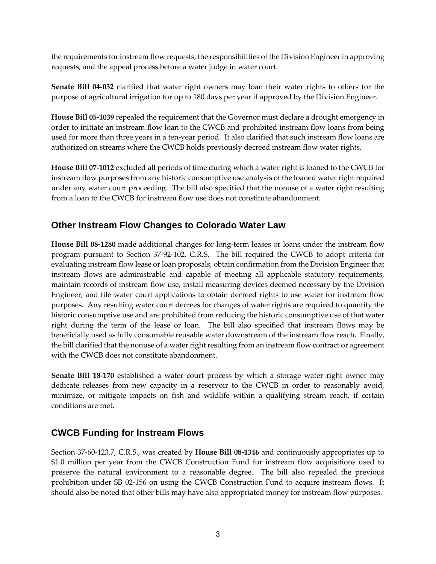the requirements for instream flow requests, the responsibilities of the Division Engineer in approving requests, and the appeal process before a water judge in water court.

**Senate Bill 04-032** clarified that water right owners may loan their water rights to others for the purpose of agricultural irrigation for up to 180 days per year if approved by the Division Engineer.

**House Bill 05-1039** repealed the requirement that the Governor must declare a drought emergency in order to initiate an instream flow loan to the CWCB and prohibited instream flow loans from being used for more than three years in a ten-year period. It also clarified that such instream flow loans are authorized on streams where the CWCB holds previously decreed instream flow water rights.

**House Bill 07-1012** excluded all periods of time during which a water right is loaned to the CWCB for instream flow purposes from any historic consumptive use analysis of the loaned water right required under any water court proceeding. The bill also specified that the nonuse of a water right resulting from a loan to the CWCB for instream flow use does not constitute abandonment.

#### **Other Instream Flow Changes to Colorado Water Law**

**House Bill 08-1280** made additional changes for long-term leases or loans under the instream flow program pursuant to Section 37-92-102, C.R.S. The bill required the CWCB to adopt criteria for evaluating instream flow lease or loan proposals, obtain confirmation from the Division Engineer that instream flows are administrable and capable of meeting all applicable statutory requirements, maintain records of instream flow use, install measuring devices deemed necessary by the Division Engineer, and file water court applications to obtain decreed rights to use water for instream flow purposes. Any resulting water court decrees for changes of water rights are required to quantify the historic consumptive use and are prohibited from reducing the historic consumptive use of that water right during the term of the lease or loan. The bill also specified that instream flows may be beneficially used as fully consumable reusable water downstream of the instream flow reach. Finally, the bill clarified that the nonuse of a water right resulting from an instream flow contract or agreement with the CWCB does not constitute abandonment.

**Senate Bill 18-170** established a water court process by which a storage water right owner may dedicate releases from new capacity in a reservoir to the CWCB in order to reasonably avoid, minimize, or mitigate impacts on fish and wildlife within a qualifying stream reach, if certain conditions are met.

#### **CWCB Funding for Instream Flows**

Section 37-60-123.7, C.R.S., was created by **House Bill 08-1346** and continuously appropriates up to \$1.0 million per year from the CWCB Construction Fund for instream flow acquisitions used to preserve the natural environment to a reasonable degree. The bill also repealed the previous prohibition under SB 02-156 on using the CWCB Construction Fund to acquire instream flows. It should also be noted that other bills may have also appropriated money for instream flow purposes.